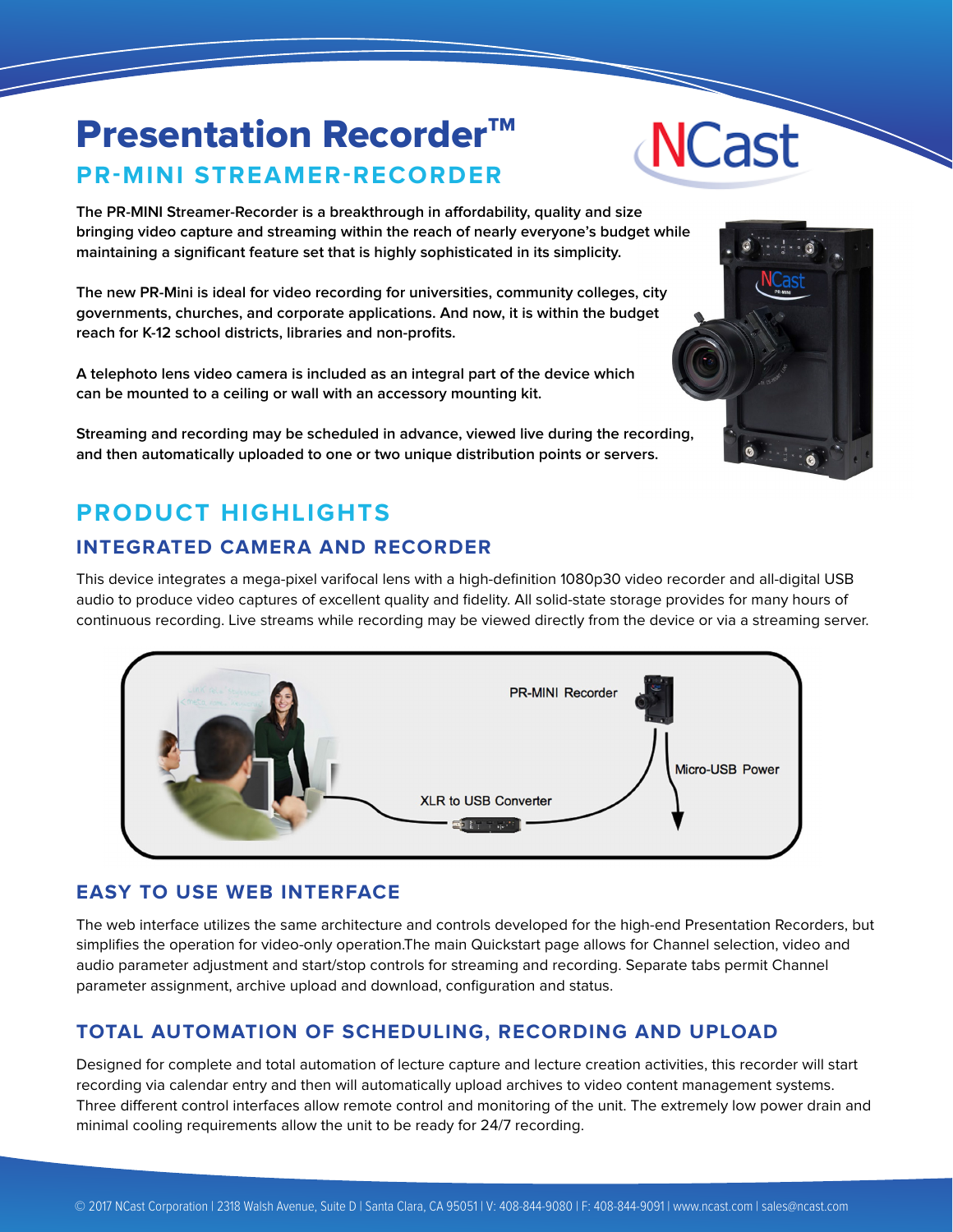### **Presentation Recorder™ PR-MINI STREAMER-RECORDER**

**The PR-MINI Streamer-Recorder is a breakthrough in affordability, quality and size bringing video capture and streaming within the reach of nearly everyone's budget while maintaining a significant feature set that is highly sophisticated in its simplicity.**

**The new PR-Mini is ideal for video recording for universities, community colleges, city governments, churches, and corporate applications. And now, it is within the budget reach for K-12 school districts, libraries and non-profits.**

**A telephoto lens video camera is included as an integral part of the device which can be mounted to a ceiling or wall with an accessory mounting kit.**

**Streaming and recording may be scheduled in advance, viewed live during the recording, and then automatically uploaded to one or two unique distribution points or servers.**

#### **PRODUCT HIGHLIGHTS**

#### **INTEGRATED CAMERA AND RECORDER**

This device integrates a mega-pixel varifocal lens with a high-definition 1080p30 video recorder and all-digital USB audio to produce video captures of excellent quality and fidelity. All solid-state storage provides for many hours of continuous recording. Live streams while recording may be viewed directly from the device or via a streaming server.

**PR-MINI Recorder** 

## **XLR to USB Converter**

#### **EASY TO USE WEB INTERFACE**

The web interface utilizes the same architecture and controls developed for the high-end Presentation Recorders, but simplifies the operation for video-only operation.The main Quickstart page allows for Channel selection, video and audio parameter adjustment and start/stop controls for streaming and recording. Separate tabs permit Channel parameter assignment, archive upload and download, configuration and status.

#### **TOTAL AUTOMATION OF SCHEDULING, RECORDING AND UPLOAD**

Designed for complete and total automation of lecture capture and lecture creation activities, this recorder will start recording via calendar entry and then will automatically upload archives to video content management systems. Three different control interfaces allow remote control and monitoring of the unit. The extremely low power drain and minimal cooling requirements allow the unit to be ready for 24/7 recording.



### **NCast**

Micro-USB Power